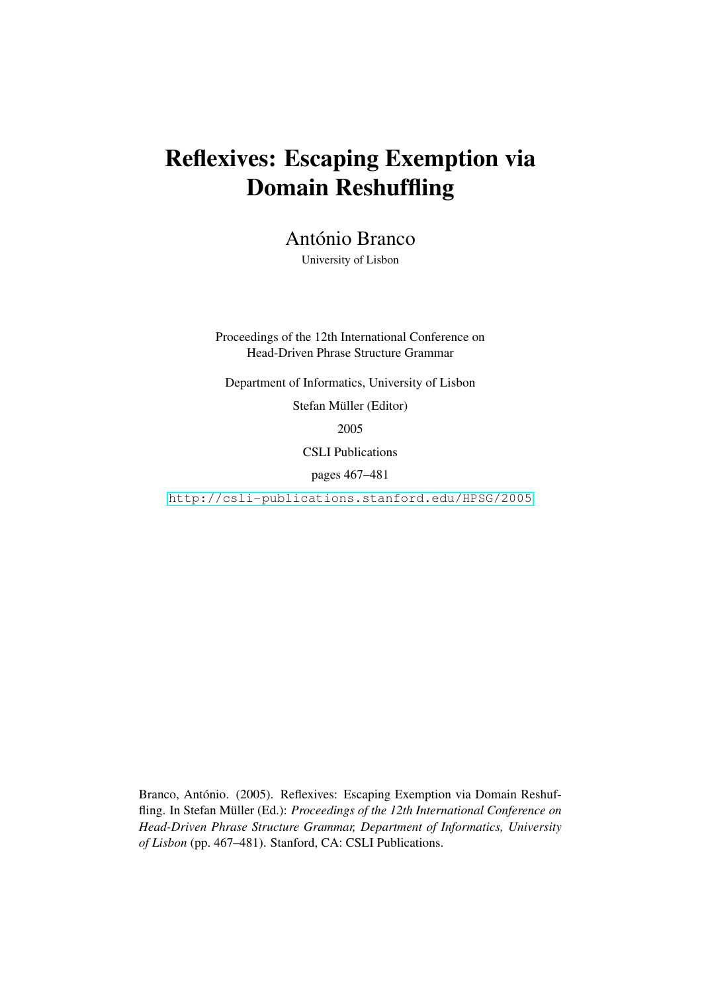# Reflexives: Escaping Exemption via Domain Reshuffling

António Branco

University of Lisbon

Proceedings of the 12th International Conference on Head-Driven Phrase Structure Grammar

Department of Informatics, University of Lisbon

Stefan Müller (Editor)

2005

CSLI Publications

pages 467–481

<http://csli-publications.stanford.edu/HPSG/2005>

Branco, António. (2005). Reflexives: Escaping Exemption via Domain Reshuffling. In Stefan Müller (Ed.): *Proceedings of the 12th International Conference on Head-Driven Phrase Structure Grammar, Department of Informatics, University of Lisbon* (pp. 467–481). Stanford, CA: CSLI Publications.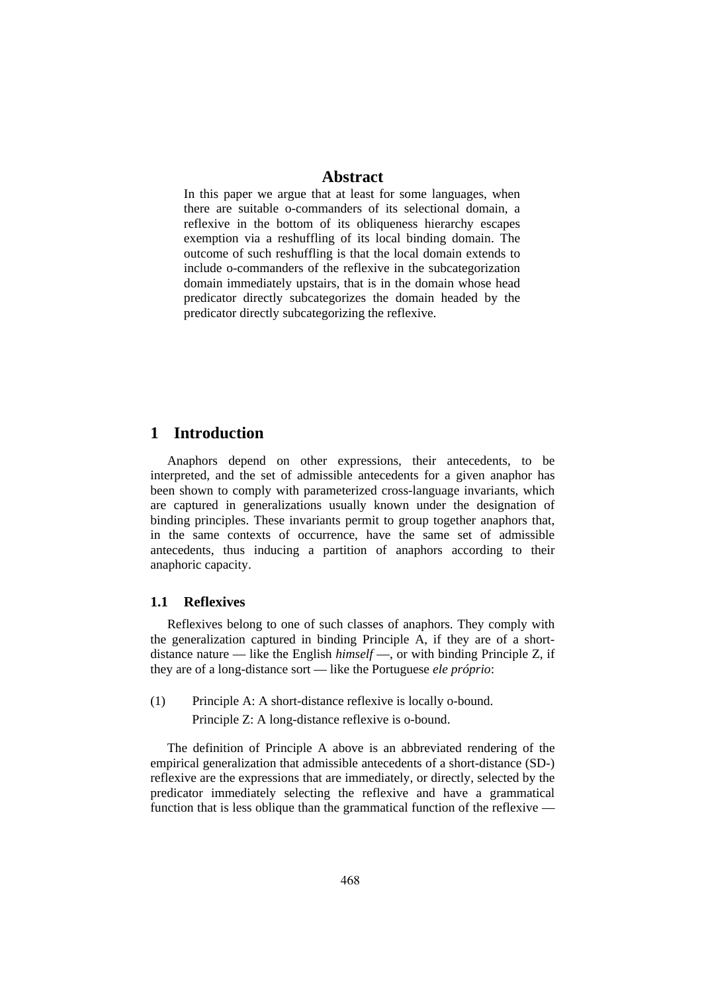# **Abstract**

In this paper we argue that at least for some languages, when there are suitable o-commanders of its selectional domain, a reflexive in the bottom of its obliqueness hierarchy escapes exemption via a reshuffling of its local binding domain. The outcome of such reshuffling is that the local domain extends to include o-commanders of the reflexive in the subcategorization domain immediately upstairs, that is in the domain whose head predicator directly subcategorizes the domain headed by the predicator directly subcategorizing the reflexive.

# **1 Introduction**

Anaphors depend on other expressions, their antecedents, to be interpreted, and the set of admissible antecedents for a given anaphor has been shown to comply with parameterized cross-language invariants, which are captured in generalizations usually known under the designation of binding principles. These invariants permit to group together anaphors that, in the same contexts of occurrence, have the same set of admissible antecedents, thus inducing a partition of anaphors according to their anaphoric capacity.

#### **1.1 Reflexives**

Reflexives belong to one of such classes of anaphors. They comply with the generalization captured in binding Principle A, if they are of a shortdistance nature — like the English *himself* —, or with binding Principle Z, if they are of a long-distance sort — like the Portuguese *ele próprio*:

(1) Principle A: A short-distance reflexive is locally o-bound. Principle Z: A long-distance reflexive is o-bound.

The definition of Principle A above is an abbreviated rendering of the empirical generalization that admissible antecedents of a short-distance (SD-) reflexive are the expressions that are immediately, or directly, selected by the predicator immediately selecting the reflexive and have a grammatical function that is less oblique than the grammatical function of the reflexive —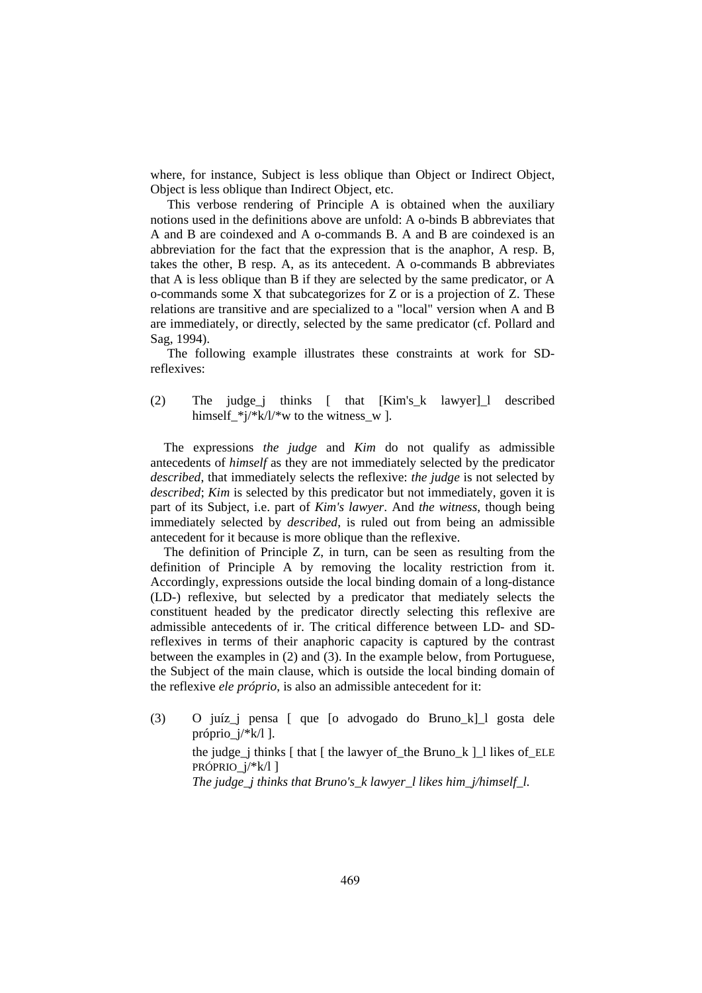where, for instance, Subject is less oblique than Object or Indirect Object, Object is less oblique than Indirect Object, etc.

This verbose rendering of Principle A is obtained when the auxiliary notions used in the definitions above are unfold: A o-binds B abbreviates that A and B are coindexed and A o-commands B. A and B are coindexed is an abbreviation for the fact that the expression that is the anaphor, A resp. B, takes the other, B resp. A, as its antecedent. A o-commands B abbreviates that A is less oblique than B if they are selected by the same predicator, or A o-commands some X that subcategorizes for Z or is a projection of Z. These relations are transitive and are specialized to a "local" version when A and B are immediately, or directly, selected by the same predicator (cf. Pollard and Sag, 1994).

The following example illustrates these constraints at work for SDreflexives:

(2) The judge\_j thinks [ that [Kim's\_k lawyer]\_l described himself\_\*j/\*k/l/\*w to the witness\_w ].

The expressions *the judge* and *Kim* do not qualify as admissible antecedents of *himself* as they are not immediately selected by the predicator *described*, that immediately selects the reflexive: *the judge* is not selected by *described*; *Kim* is selected by this predicator but not immediately, goven it is part of its Subject, i.e. part of *Kim's lawyer*. And *the witness*, though being immediately selected by *described*, is ruled out from being an admissible antecedent for it because is more oblique than the reflexive.

The definition of Principle Z, in turn, can be seen as resulting from the definition of Principle A by removing the locality restriction from it. Accordingly, expressions outside the local binding domain of a long-distance (LD-) reflexive, but selected by a predicator that mediately selects the constituent headed by the predicator directly selecting this reflexive are admissible antecedents of ir. The critical difference between LD- and SDreflexives in terms of their anaphoric capacity is captured by the contrast between the examples in (2) and (3). In the example below, from Portuguese, the Subject of the main clause, which is outside the local binding domain of the reflexive *ele próprio*, is also an admissible antecedent for it:

(3) O juíz\_j pensa [ que [o advogado do Bruno\_k]\_l gosta dele próprio\_j/\*k/l ]. the judge\_j thinks  $\lceil \cdot \rceil$  that  $\lceil \cdot \rceil$  the lawyer of the Bruno  $k \rceil$  likes of ELE PRÓPRIO\_j/\*k/l ] *The judge j thinks that Bruno's k lawyer l likes him j/himself l.*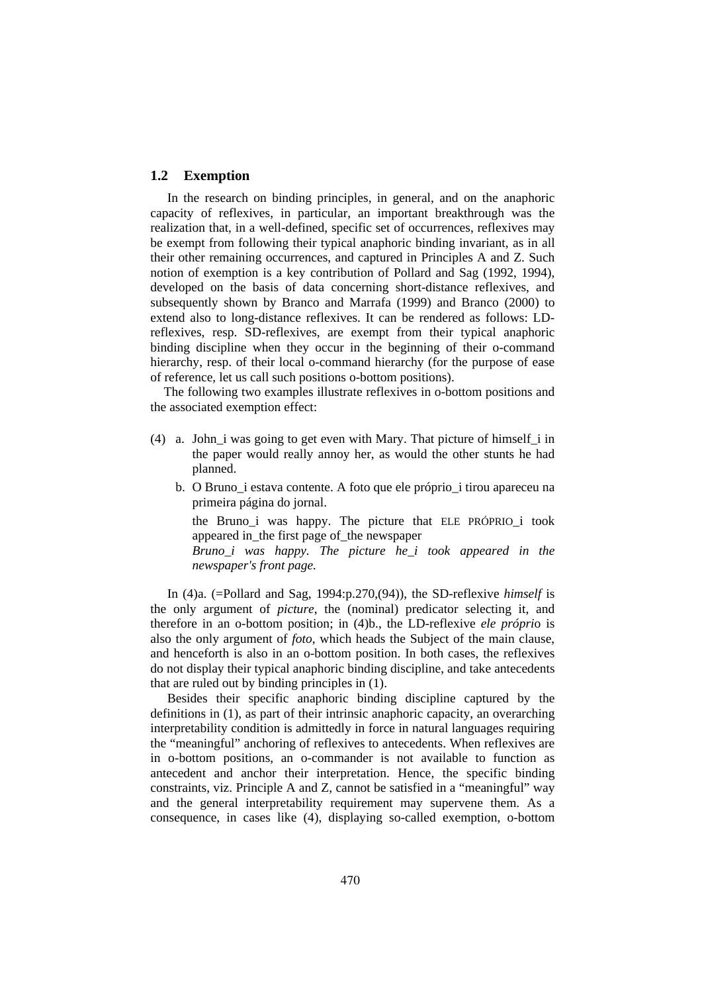## **1.2 Exemption**

In the research on binding principles, in general, and on the anaphoric capacity of reflexives, in particular, an important breakthrough was the realization that, in a well-defined, specific set of occurrences, reflexives may be exempt from following their typical anaphoric binding invariant, as in all their other remaining occurrences, and captured in Principles A and Z. Such notion of exemption is a key contribution of Pollard and Sag (1992, 1994), developed on the basis of data concerning short-distance reflexives, and subsequently shown by Branco and Marrafa (1999) and Branco (2000) to extend also to long-distance reflexives. It can be rendered as follows: LDreflexives, resp. SD-reflexives, are exempt from their typical anaphoric binding discipline when they occur in the beginning of their o-command hierarchy, resp. of their local o-command hierarchy (for the purpose of ease of reference, let us call such positions o-bottom positions).

The following two examples illustrate reflexives in o-bottom positions and the associated exemption effect:

- (4) a. John\_i was going to get even with Mary. That picture of himself\_i in the paper would really annoy her, as would the other stunts he had planned.
	- b. O Bruno\_i estava contente. A foto que ele próprio\_i tirou apareceu na primeira página do jornal.

 the Bruno\_i was happy. The picture that ELE PRÓPRIO\_i took appeared in\_the first page of\_the newspaper

 *Bruno\_i was happy. The picture he\_i took appeared in the newspaper's front page.* 

In (4)a. (=Pollard and Sag, 1994:p.270,(94)), the SD-reflexive *himself* is the only argument of *picture*, the (nominal) predicator selecting it, and therefore in an o-bottom position; in (4)b., the LD-reflexive *ele própri*o is also the only argument of *foto*, which heads the Subject of the main clause, and henceforth is also in an o-bottom position. In both cases, the reflexives do not display their typical anaphoric binding discipline, and take antecedents that are ruled out by binding principles in (1).

Besides their specific anaphoric binding discipline captured by the definitions in (1), as part of their intrinsic anaphoric capacity, an overarching interpretability condition is admittedly in force in natural languages requiring the "meaningful" anchoring of reflexives to antecedents. When reflexives are in o-bottom positions, an o-commander is not available to function as antecedent and anchor their interpretation. Hence, the specific binding constraints, viz. Principle A and Z, cannot be satisfied in a "meaningful" way and the general interpretability requirement may supervene them. As a consequence, in cases like (4), displaying so-called exemption, o-bottom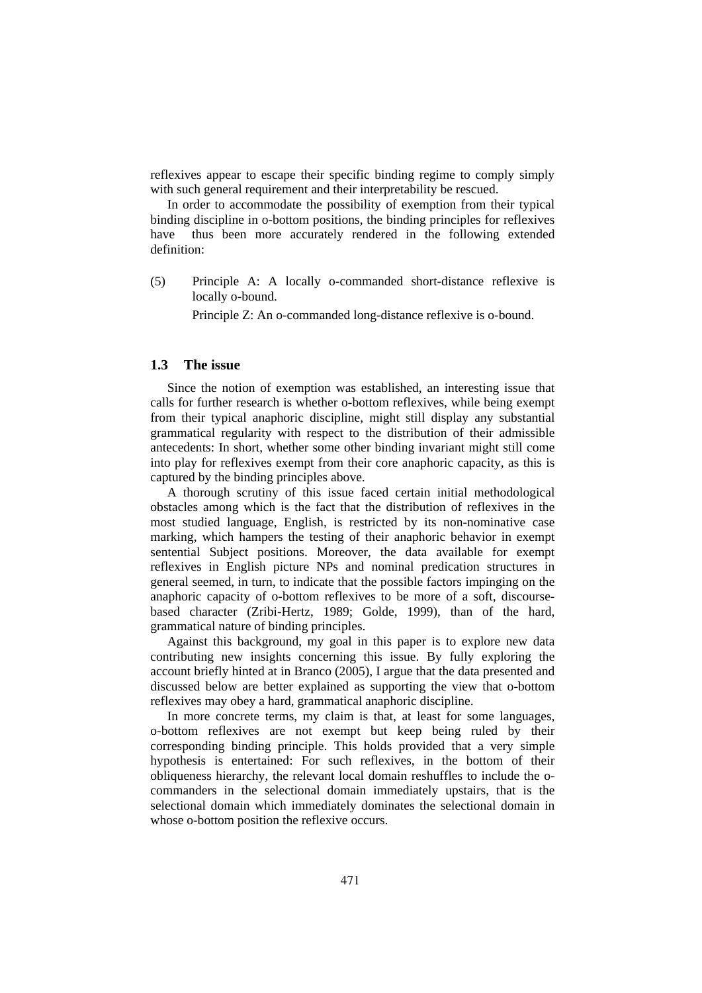reflexives appear to escape their specific binding regime to comply simply with such general requirement and their interpretability be rescued.

In order to accommodate the possibility of exemption from their typical binding discipline in o-bottom positions, the binding principles for reflexives have thus been more accurately rendered in the following extended definition:

(5) Principle A: A locally o-commanded short-distance reflexive is locally o-bound.

Principle Z: An o-commanded long-distance reflexive is o-bound.

#### **1.3 The issue**

Since the notion of exemption was established, an interesting issue that calls for further research is whether o-bottom reflexives, while being exempt from their typical anaphoric discipline, might still display any substantial grammatical regularity with respect to the distribution of their admissible antecedents: In short, whether some other binding invariant might still come into play for reflexives exempt from their core anaphoric capacity, as this is captured by the binding principles above.

A thorough scrutiny of this issue faced certain initial methodological obstacles among which is the fact that the distribution of reflexives in the most studied language, English, is restricted by its non-nominative case marking, which hampers the testing of their anaphoric behavior in exempt sentential Subject positions. Moreover, the data available for exempt reflexives in English picture NPs and nominal predication structures in general seemed, in turn, to indicate that the possible factors impinging on the anaphoric capacity of o-bottom reflexives to be more of a soft, discoursebased character (Zribi-Hertz, 1989; Golde, 1999), than of the hard, grammatical nature of binding principles.

Against this background, my goal in this paper is to explore new data contributing new insights concerning this issue. By fully exploring the account briefly hinted at in Branco (2005), I argue that the data presented and discussed below are better explained as supporting the view that o-bottom reflexives may obey a hard, grammatical anaphoric discipline.

In more concrete terms, my claim is that, at least for some languages, o-bottom reflexives are not exempt but keep being ruled by their corresponding binding principle. This holds provided that a very simple hypothesis is entertained: For such reflexives, in the bottom of their obliqueness hierarchy, the relevant local domain reshuffles to include the ocommanders in the selectional domain immediately upstairs, that is the selectional domain which immediately dominates the selectional domain in whose o-bottom position the reflexive occurs.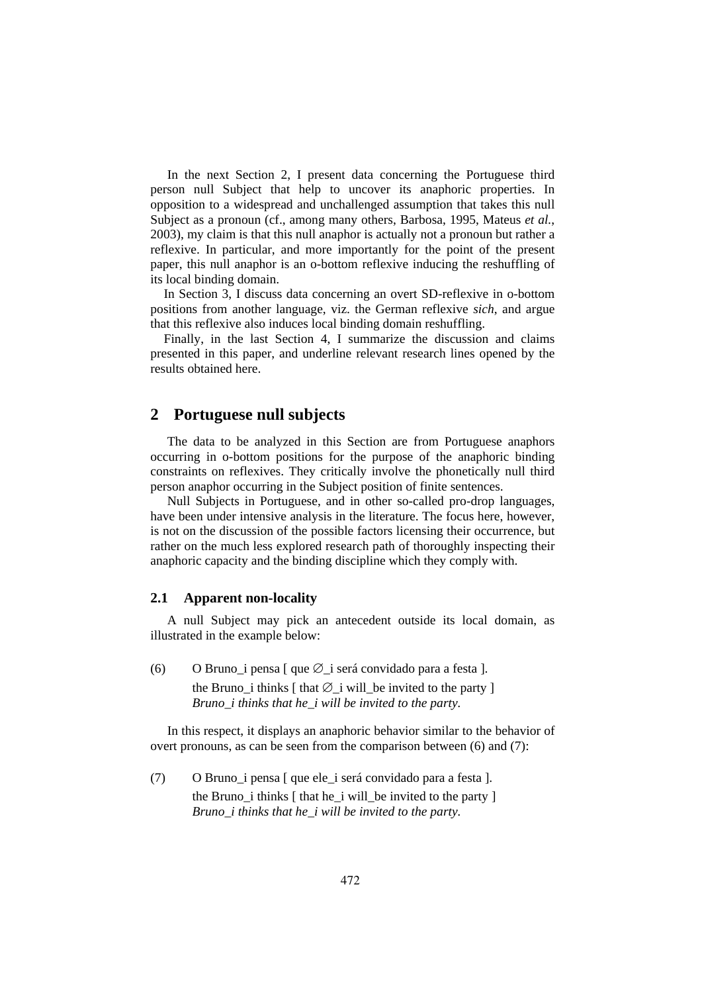In the next Section 2, I present data concerning the Portuguese third person null Subject that help to uncover its anaphoric properties. In opposition to a widespread and unchallenged assumption that takes this null Subject as a pronoun (cf., among many others, Barbosa, 1995, Mateus *et al.*, 2003), my claim is that this null anaphor is actually not a pronoun but rather a reflexive. In particular, and more importantly for the point of the present paper, this null anaphor is an o-bottom reflexive inducing the reshuffling of its local binding domain.

In Section 3, I discuss data concerning an overt SD-reflexive in o-bottom positions from another language, viz. the German reflexive *sich*, and argue that this reflexive also induces local binding domain reshuffling.

Finally, in the last Section 4, I summarize the discussion and claims presented in this paper, and underline relevant research lines opened by the results obtained here.

## **2 Portuguese null subjects**

The data to be analyzed in this Section are from Portuguese anaphors occurring in o-bottom positions for the purpose of the anaphoric binding constraints on reflexives. They critically involve the phonetically null third person anaphor occurring in the Subject position of finite sentences.

Null Subjects in Portuguese, and in other so-called pro-drop languages, have been under intensive analysis in the literature. The focus here, however, is not on the discussion of the possible factors licensing their occurrence, but rather on the much less explored research path of thoroughly inspecting their anaphoric capacity and the binding discipline which they comply with.

#### **2.1 Apparent non-locality**

A null Subject may pick an antecedent outside its local domain, as illustrated in the example below:

(6) O Bruno\_i pensa [ que ∅\_i será convidado para a festa ]. the Bruno\_i thinks  $[$  that  $\emptyset$ \_i will\_be invited to the party  $]$  *Bruno\_i thinks that he\_i will be invited to the party.* 

In this respect, it displays an anaphoric behavior similar to the behavior of overt pronouns, as can be seen from the comparison between (6) and (7):

(7) O Bruno\_i pensa [ que ele\_i será convidado para a festa ]. the Bruno  $\overline{i}$  thinks  $\overline{j}$  that he  $\overline{i}$  will be invited to the party  $\overline{j}$  *Bruno\_i thinks that he\_i will be invited to the party.*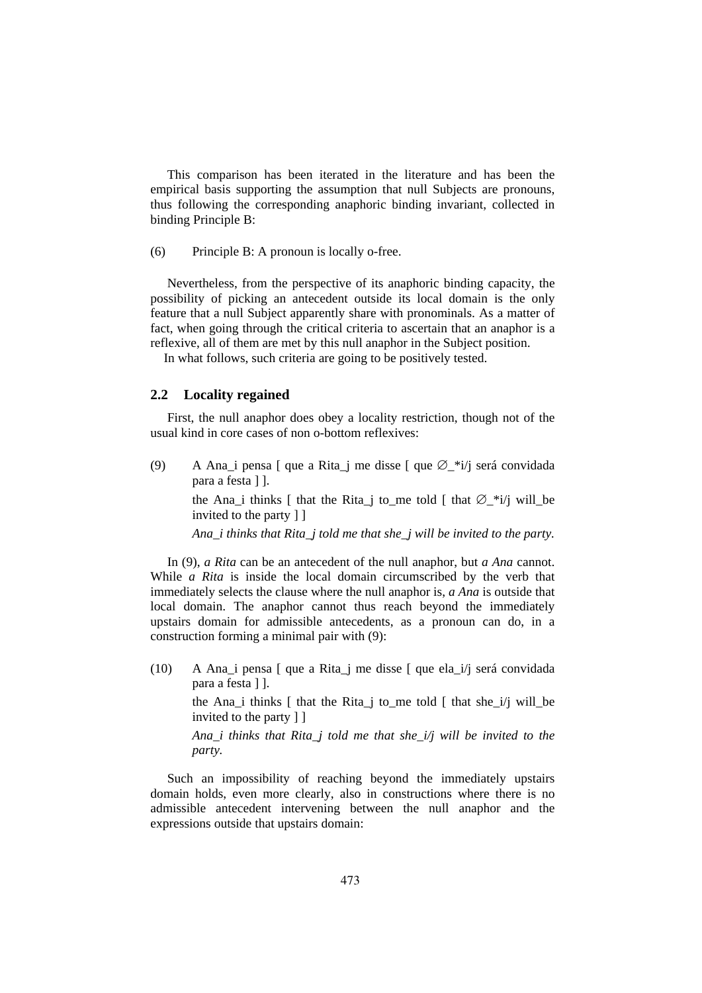This comparison has been iterated in the literature and has been the empirical basis supporting the assumption that null Subjects are pronouns, thus following the corresponding anaphoric binding invariant, collected in binding Principle B:

(6) Principle B: A pronoun is locally o-free.

Nevertheless, from the perspective of its anaphoric binding capacity, the possibility of picking an antecedent outside its local domain is the only feature that a null Subject apparently share with pronominals. As a matter of fact, when going through the critical criteria to ascertain that an anaphor is a reflexive, all of them are met by this null anaphor in the Subject position.

In what follows, such criteria are going to be positively tested.

#### **2.2 Locality regained**

First, the null anaphor does obey a locality restriction, though not of the usual kind in core cases of non o-bottom reflexives:

(9) A Ana i pensa  $\lceil$  que a Rita j me disse  $\lceil$  que  $\emptyset$  \*i/j será convidada para a festa ] ].

> the Ana i thinks [ that the Rita i to me told [ that  $\varnothing$  \*i/j will be invited to the party ] ]

> *Ana\_i thinks that Rita\_j told me that she\_j will be invited to the party.*

In (9), *a Rita* can be an antecedent of the null anaphor, but *a Ana* cannot. While *a Rita* is inside the local domain circumscribed by the verb that immediately selects the clause where the null anaphor is, *a Ana* is outside that local domain. The anaphor cannot thus reach beyond the immediately upstairs domain for admissible antecedents, as a pronoun can do, in a construction forming a minimal pair with (9):

(10) A Ana\_i pensa [ que a Rita\_j me disse [ que ela\_i/j será convidada para a festa ] ].

> the Ana\_i thinks [ that the Rita\_j to\_me told [ that she\_i/j will\_be invited to the party ] ]

> *Ana\_i thinks that Rita\_j told me that she\_i/j will be invited to the party.*

Such an impossibility of reaching beyond the immediately upstairs domain holds, even more clearly, also in constructions where there is no admissible antecedent intervening between the null anaphor and the expressions outside that upstairs domain: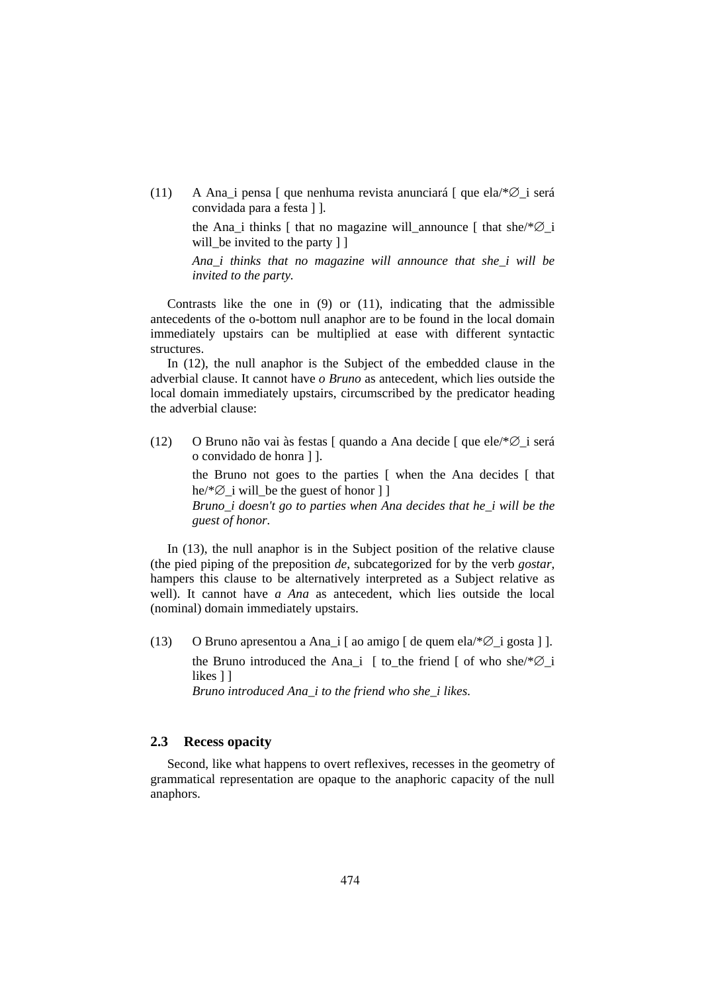(11) A Ana\_i pensa [ que nenhuma revista anunciará [ que ela/\*∅\_i será convidada para a festa ] ].

> the Ana i thinks [ that no magazine will announce [ that she/\* $\varnothing$  i will be invited to the party 11

> *Ana\_i thinks that no magazine will announce that she\_i will be invited to the party.*

Contrasts like the one in (9) or (11), indicating that the admissible antecedents of the o-bottom null anaphor are to be found in the local domain immediately upstairs can be multiplied at ease with different syntactic structures.

In (12), the null anaphor is the Subject of the embedded clause in the adverbial clause. It cannot have *o Bruno* as antecedent, which lies outside the local domain immediately upstairs, circumscribed by the predicator heading the adverbial clause:

(12) O Bruno não vai às festas [ quando a Ana decide [ que ele/\*∅\_i será o convidado de honra ] ].

> the Bruno not goes to the parties [ when the Ana decides [ that he/\*∅\_i will\_be the guest of honor ] ]

> *Bruno\_i doesn't go to parties when Ana decides that he\_i will be the guest of honor.*

In (13), the null anaphor is in the Subject position of the relative clause (the pied piping of the preposition *de*, subcategorized for by the verb *gostar*, hampers this clause to be alternatively interpreted as a Subject relative as well). It cannot have *a Ana* as antecedent, which lies outside the local (nominal) domain immediately upstairs.

(13) O Bruno apresentou a Ana\_i [ ao amigo  $\lceil$  de quem ela/\* $\varnothing$  i gosta ] ]. the Bruno introduced the Ana\_i [ to\_the friend [ of who she/\*∅\_i likes 11

 *Bruno introduced Ana\_i to the friend who she\_i likes.* 

## **2.3 Recess opacity**

Second, like what happens to overt reflexives, recesses in the geometry of grammatical representation are opaque to the anaphoric capacity of the null anaphors.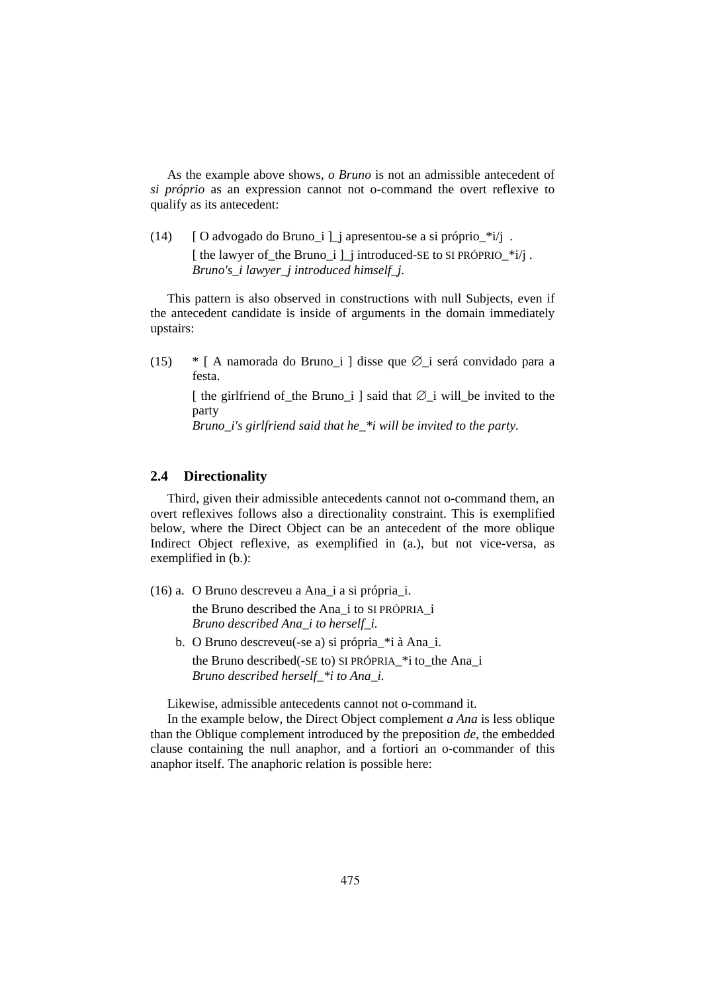As the example above shows, *o Bruno* is not an admissible antecedent of *si próprio* as an expression cannot not o-command the overt reflexive to qualify as its antecedent:

(14)  $[O$  advogado do Bruno\_i  $]$  apresentou-se a si próprio\_\*i/j. [ the lawyer of the Bruno i ] i introduced-SE to SI PRÓPRIO  $*i/i$ .  *Bruno's\_i lawyer\_j introduced himself\_j.* 

This pattern is also observed in constructions with null Subjects, even if the antecedent candidate is inside of arguments in the domain immediately upstairs:

(15) \* [ A namorada do Bruno\_i ] disse que ∅\_i será convidado para a festa.

[ the girlfriend of the Bruno i ] said that  $Ø$  i will be invited to the party

 *Bruno\_i's girlfriend said that he\_\*i will be invited to the party.* 

#### **2.4 Directionality**

Third, given their admissible antecedents cannot not o-command them, an overt reflexives follows also a directionality constraint. This is exemplified below, where the Direct Object can be an antecedent of the more oblique Indirect Object reflexive, as exemplified in (a.), but not vice-versa, as exemplified in (b.):

(16) a. O Bruno descreveu a Ana\_i a si própria\_i.

 the Bruno described the Ana\_i to SI PRÓPRIA\_i  *Bruno described Ana\_i to herself\_i.* 

 b. O Bruno descreveu(-se a) si própria\_\*i à Ana\_i. the Bruno described(-SE to) SI PRÓPRIA\_\*i to\_the Ana\_i  *Bruno described herself\_\*i to Ana\_i.* 

Likewise, admissible antecedents cannot not o-command it.

In the example below, the Direct Object complement *a Ana* is less oblique than the Oblique complement introduced by the preposition *de*, the embedded clause containing the null anaphor, and a fortiori an o-commander of this anaphor itself. The anaphoric relation is possible here: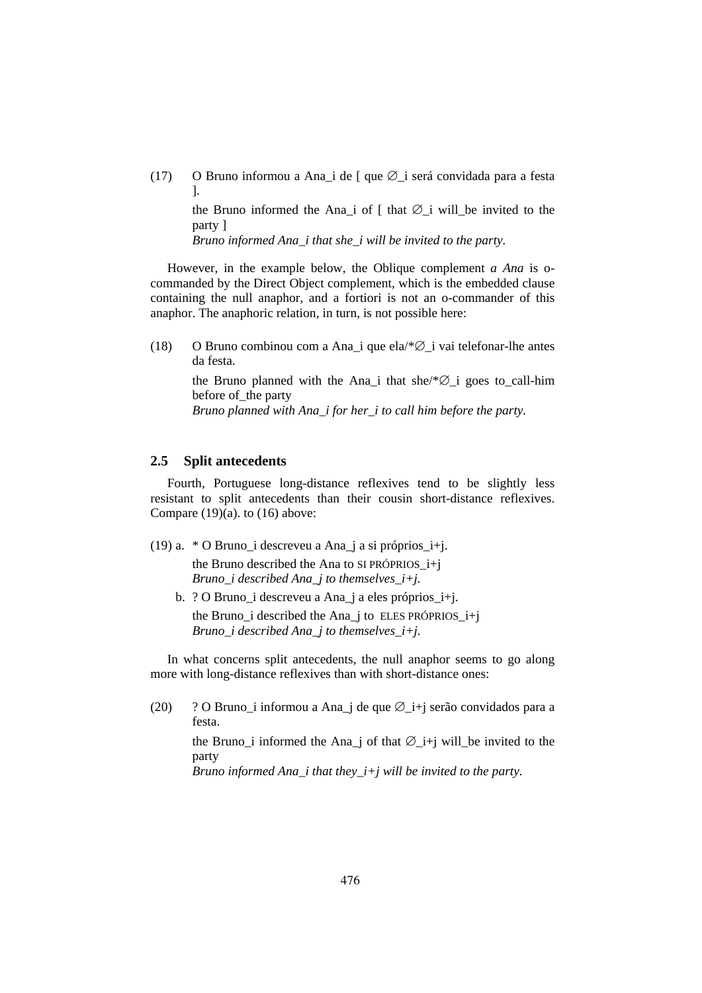(17) O Bruno informou a Ana\_i de [ que ∅\_i será convidada para a festa ].

the Bruno informed the Ana\_i of  $\lceil$  that  $\emptyset$ \_i will\_be invited to the party ]

 *Bruno informed Ana\_i that she\_i will be invited to the party.* 

However, in the example below, the Oblique complement *a Ana* is ocommanded by the Direct Object complement, which is the embedded clause containing the null anaphor, and a fortiori is not an o-commander of this anaphor. The anaphoric relation, in turn, is not possible here:

(18) O Bruno combinou com a Ana\_i que ela/ $*\varnothing$  i vai telefonar-lhe antes da festa.

> the Bruno planned with the Ana\_i that she/\*∅\_i goes to\_call-him before of the party  *Bruno planned with Ana\_i for her\_i to call him before the party.*

## **2.5 Split antecedents**

Fourth, Portuguese long-distance reflexives tend to be slightly less resistant to split antecedents than their cousin short-distance reflexives. Compare  $(19)(a)$ , to  $(16)$  above:

- (19) a. \* O Bruno\_i descreveu a Ana\_j a si próprios\_i+j. the Bruno described the Ana to SI PRÓPRIOS\_i+j  *Bruno\_i described Ana\_j to themselves\_i+j.* 
	- b. ? O Bruno\_i descreveu a Ana\_j a eles próprios\_i+j. the Bruno\_i described the Ana\_j to ELES PRÓPRIOS\_i+j  *Bruno\_i described Ana\_j to themselves\_i+j.*

In what concerns split antecedents, the null anaphor seems to go along more with long-distance reflexives than with short-distance ones:

(20) ? O Bruno i informou a Ana j de que Ø i+j serão convidados para a festa.

> the Bruno\_i informed the Ana\_j of that  $\emptyset$ \_i+j will\_be invited to the party

 *Bruno informed Ana\_i that they\_i+j will be invited to the party.*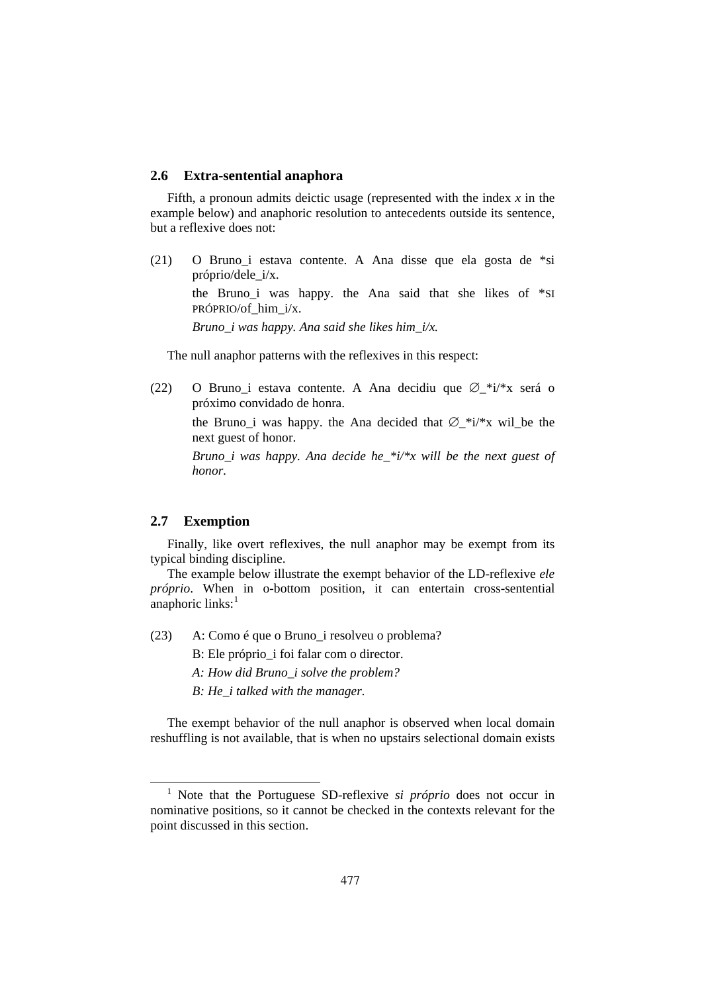#### **2.6 Extra-sentential anaphora**

Fifth, a pronoun admits deictic usage (represented with the index *x* in the example below) and anaphoric resolution to antecedents outside its sentence, but a reflexive does not:

(21) O Bruno\_i estava contente. A Ana disse que ela gosta de \*si próprio/dele\_i/x. the Bruno i was happy. the Ana said that she likes of  $*$ SI PRÓPRIO/of\_him\_i/x.  *Bruno\_i was happy. Ana said she likes him\_i/x.* 

The null anaphor patterns with the reflexives in this respect:

(22) O Bruno\_i estava contente. A Ana decidiu que ∅\_\*i/\*x será o próximo convidado de honra.

> the Bruno i was happy. the Ana decided that  $\varnothing$  \*i/\*x will be the next guest of honor.

> *Bruno\_i was happy. Ana decide he\_\*i/\*x will be the next guest of honor.*

### **2.7 Exemption**

Finally, like overt reflexives, the null anaphor may be exempt from its typical binding discipline.

The example below illustrate the exempt behavior of the LD-reflexive *ele próprio*. When in o-bottom position, it can entertain cross-sentential anaphoric links: $<sup>1</sup>$ </sup>

- (23) A: Como é que o Bruno\_i resolveu o problema?
	- B: Ele próprio i foi falar com o director.
	- *A: How did Bruno\_i solve the problem?*
	- *B: He\_i talked with the manager.*

The exempt behavior of the null anaphor is observed when local domain reshuffling is not available, that is when no upstairs selectional domain exists

 <sup>1</sup> Note that the Portuguese SD-reflexive *si próprio* does not occur in nominative positions, so it cannot be checked in the contexts relevant for the point discussed in this section.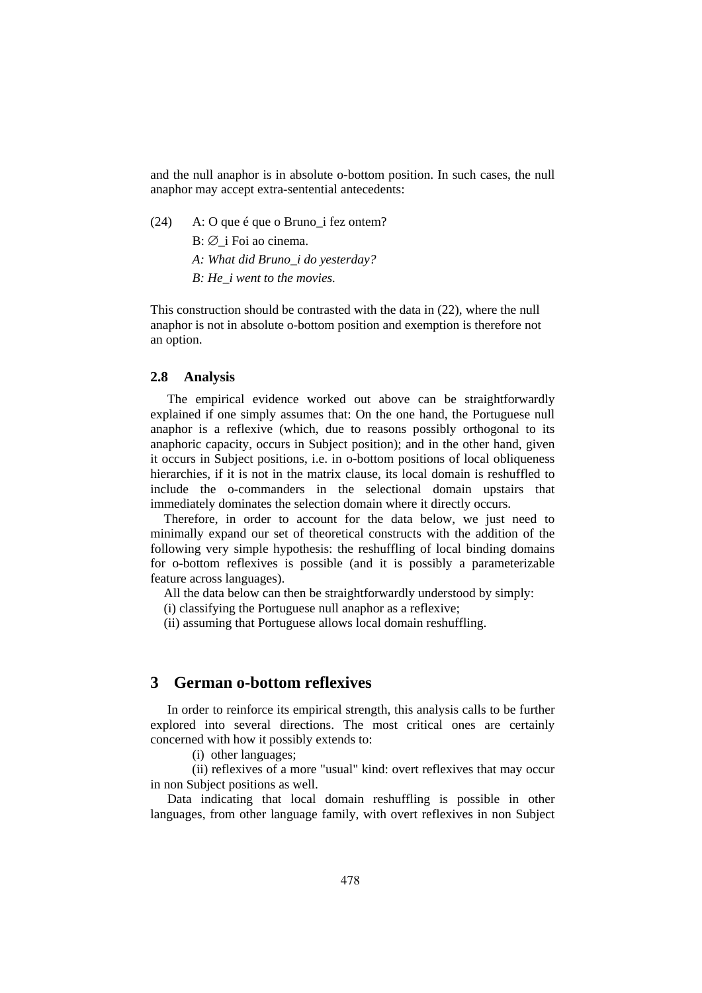and the null anaphor is in absolute o-bottom position. In such cases, the null anaphor may accept extra-sentential antecedents:

(24) A: O que é que o Bruno\_i fez ontem?

 $B: \emptyset$  i Foi ao cinema.

 *A: What did Bruno\_i do yesterday?* 

 *B: He\_i went to the movies.* 

This construction should be contrasted with the data in (22), where the null anaphor is not in absolute o-bottom position and exemption is therefore not an option.

#### **2.8 Analysis**

The empirical evidence worked out above can be straightforwardly explained if one simply assumes that: On the one hand, the Portuguese null anaphor is a reflexive (which, due to reasons possibly orthogonal to its anaphoric capacity, occurs in Subject position); and in the other hand, given it occurs in Subject positions, i.e. in o-bottom positions of local obliqueness hierarchies, if it is not in the matrix clause, its local domain is reshuffled to include the o-commanders in the selectional domain upstairs that immediately dominates the selection domain where it directly occurs.

Therefore, in order to account for the data below, we just need to minimally expand our set of theoretical constructs with the addition of the following very simple hypothesis: the reshuffling of local binding domains for o-bottom reflexives is possible (and it is possibly a parameterizable feature across languages).

All the data below can then be straightforwardly understood by simply:

(i) classifying the Portuguese null anaphor as a reflexive;

(ii) assuming that Portuguese allows local domain reshuffling.

## **3 German o-bottom reflexives**

In order to reinforce its empirical strength, this analysis calls to be further explored into several directions. The most critical ones are certainly concerned with how it possibly extends to:

(i) other languages;

 (ii) reflexives of a more "usual" kind: overt reflexives that may occur in non Subject positions as well.

Data indicating that local domain reshuffling is possible in other languages, from other language family, with overt reflexives in non Subject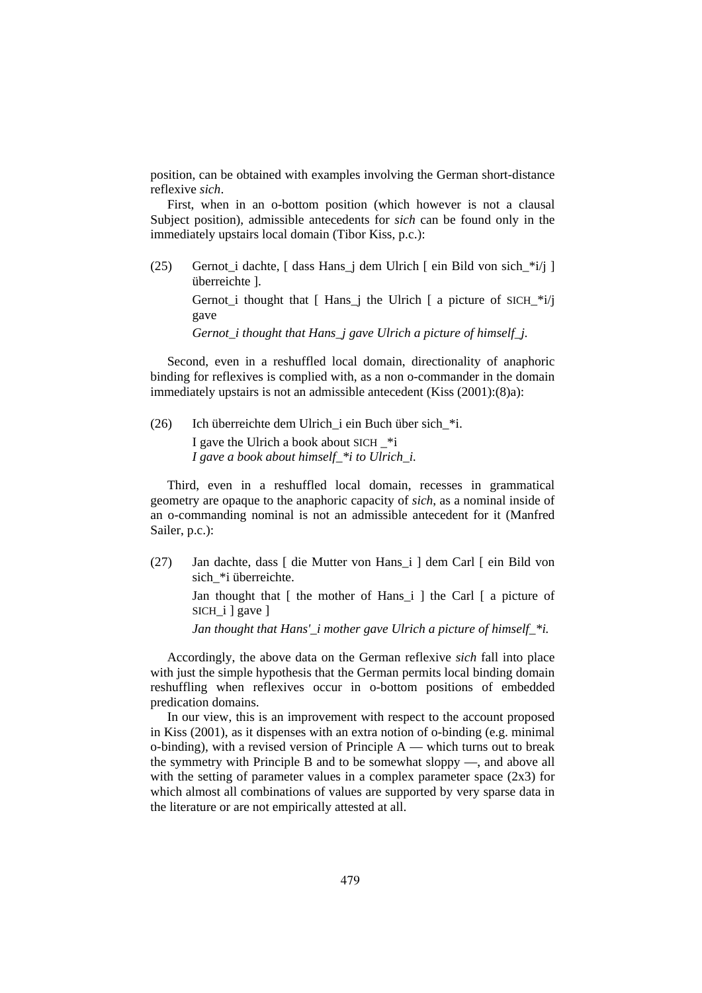position, can be obtained with examples involving the German short-distance reflexive *sich*.

First, when in an o-bottom position (which however is not a clausal Subject position), admissible antecedents for *sich* can be found only in the immediately upstairs local domain (Tibor Kiss, p.c.):

(25) Gernot\_i dachte, [ dass Hans\_j dem Ulrich [ ein Bild von sich\_\*i/j ] überreichte ].

> Gernot\_i thought that [ Hans\_j the Ulrich [ a picture of SICH\_\*i/j gave

 *Gernot\_i thought that Hans\_j gave Ulrich a picture of himself\_j.* 

Second, even in a reshuffled local domain, directionality of anaphoric binding for reflexives is complied with, as a non o-commander in the domain immediately upstairs is not an admissible antecedent (Kiss (2001):(8)a):

(26) Ich überreichte dem Ulrich\_i ein Buch über sich\_\*i.

 I gave the Ulrich a book about SICH \_\*i  *I gave a book about himself\_\*i to Ulrich\_i.* 

Third, even in a reshuffled local domain, recesses in grammatical geometry are opaque to the anaphoric capacity of *sich*, as a nominal inside of an o-commanding nominal is not an admissible antecedent for it (Manfred Sailer, p.c.):

(27) Jan dachte, dass [ die Mutter von Hans\_i ] dem Carl [ ein Bild von sich \*i überreichte.

> Jan thought that  $\lceil$  the mother of Hans  $i \rceil$  the Carl  $\lceil$  a picture of SICH\_i ] gave ]

*Jan thought that Hans' i mother gave Ulrich a picture of himself \*i.* 

Accordingly, the above data on the German reflexive *sich* fall into place with just the simple hypothesis that the German permits local binding domain reshuffling when reflexives occur in o-bottom positions of embedded predication domains.

In our view, this is an improvement with respect to the account proposed in Kiss (2001), as it dispenses with an extra notion of o-binding (e.g. minimal o-binding), with a revised version of Principle  $A$  — which turns out to break the symmetry with Principle B and to be somewhat sloppy —, and above all with the setting of parameter values in a complex parameter space  $(2x3)$  for which almost all combinations of values are supported by very sparse data in the literature or are not empirically attested at all.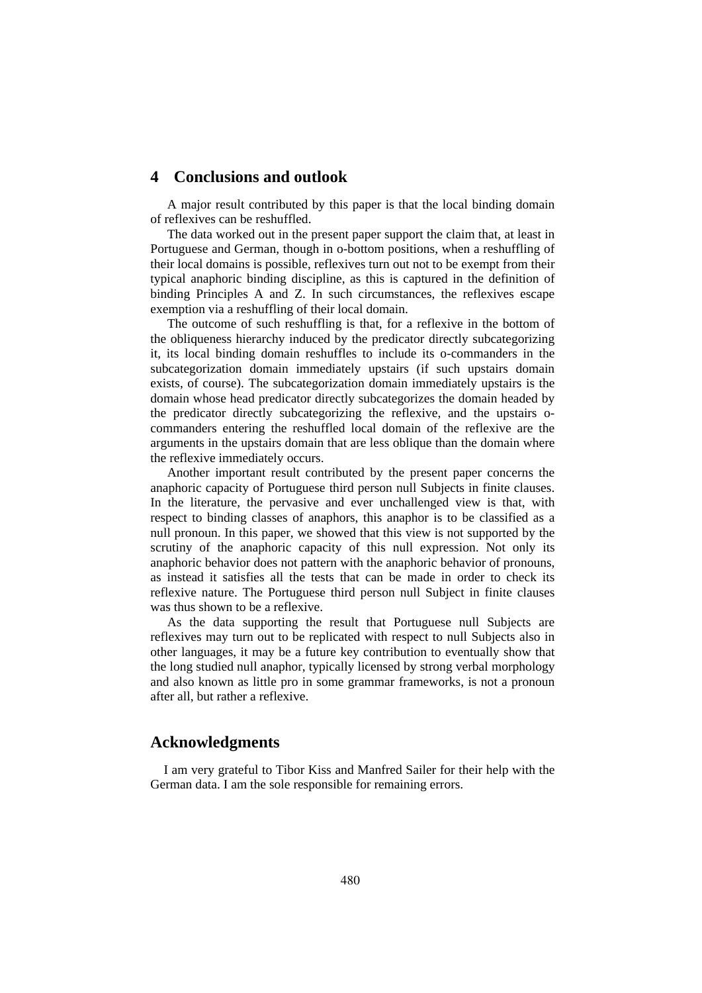# **4 Conclusions and outlook**

A major result contributed by this paper is that the local binding domain of reflexives can be reshuffled.

The data worked out in the present paper support the claim that, at least in Portuguese and German, though in o-bottom positions, when a reshuffling of their local domains is possible, reflexives turn out not to be exempt from their typical anaphoric binding discipline, as this is captured in the definition of binding Principles A and Z. In such circumstances, the reflexives escape exemption via a reshuffling of their local domain.

The outcome of such reshuffling is that, for a reflexive in the bottom of the obliqueness hierarchy induced by the predicator directly subcategorizing it, its local binding domain reshuffles to include its o-commanders in the subcategorization domain immediately upstairs (if such upstairs domain exists, of course). The subcategorization domain immediately upstairs is the domain whose head predicator directly subcategorizes the domain headed by the predicator directly subcategorizing the reflexive, and the upstairs ocommanders entering the reshuffled local domain of the reflexive are the arguments in the upstairs domain that are less oblique than the domain where the reflexive immediately occurs.

Another important result contributed by the present paper concerns the anaphoric capacity of Portuguese third person null Subjects in finite clauses. In the literature, the pervasive and ever unchallenged view is that, with respect to binding classes of anaphors, this anaphor is to be classified as a null pronoun. In this paper, we showed that this view is not supported by the scrutiny of the anaphoric capacity of this null expression. Not only its anaphoric behavior does not pattern with the anaphoric behavior of pronouns, as instead it satisfies all the tests that can be made in order to check its reflexive nature. The Portuguese third person null Subject in finite clauses was thus shown to be a reflexive.

As the data supporting the result that Portuguese null Subjects are reflexives may turn out to be replicated with respect to null Subjects also in other languages, it may be a future key contribution to eventually show that the long studied null anaphor, typically licensed by strong verbal morphology and also known as little pro in some grammar frameworks, is not a pronoun after all, but rather a reflexive.

# **Acknowledgments**

I am very grateful to Tibor Kiss and Manfred Sailer for their help with the German data. I am the sole responsible for remaining errors.